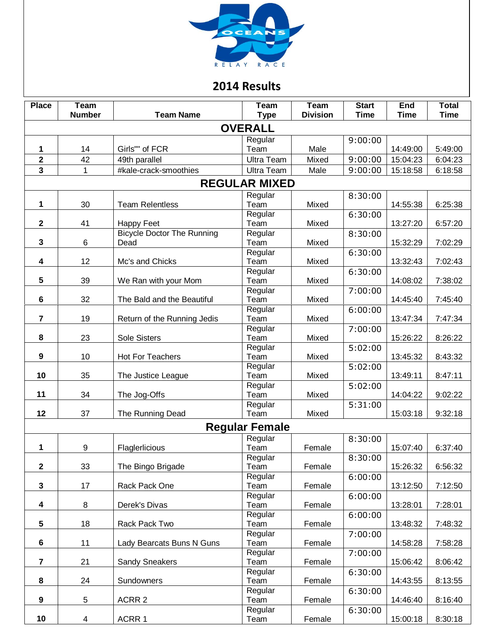

## **2014 Results**

| <b>Place</b>            | <b>Team</b>    |                                   | <b>Team</b>          | Team            | <b>Start</b> | <b>End</b>  | <b>Total</b> |
|-------------------------|----------------|-----------------------------------|----------------------|-----------------|--------------|-------------|--------------|
|                         | <b>Number</b>  | <b>Team Name</b>                  | <b>Type</b>          | <b>Division</b> | <b>Time</b>  | <b>Time</b> | <b>Time</b>  |
| <b>OVERALL</b>          |                |                                   |                      |                 |              |             |              |
|                         |                |                                   | Regular              |                 | 9:00:00      |             |              |
| 1                       | 14             | Girls"" of FCR                    | Team                 | Male            |              | 14:49:00    | 5:49:00      |
| $\overline{2}$          | 42             | 49th parallel                     | <b>Ultra Team</b>    | Mixed           | 9:00:00      | 15:04:23    | 6:04:23      |
| 3                       | $\mathbf{1}$   | #kale-crack-smoothies             | <b>Ultra Team</b>    | Male            | 9:00:00      | 15:18:58    | 6:18:58      |
|                         |                |                                   | <b>REGULAR MIXED</b> |                 |              |             |              |
|                         |                |                                   | Regular              |                 | 8:30:00      |             |              |
| 1                       | 30             | <b>Team Relentless</b>            | Team                 | Mixed           |              | 14:55:38    | 6:25:38      |
|                         |                |                                   | Regular              |                 | 6:30:00      |             |              |
| $\mathbf{2}$            | 41             | <b>Happy Feet</b>                 | Team                 | Mixed           |              | 13:27:20    | 6:57:20      |
|                         |                | <b>Bicycle Doctor The Running</b> | Regular              |                 | 8:30:00      |             |              |
| $\mathbf{3}$            | 6              | Dead                              | Team                 | Mixed           |              | 15:32:29    | 7:02:29      |
|                         |                |                                   | Regular              |                 | 6:30:00      |             |              |
| 4                       | 12             | Mc's and Chicks                   | Team                 | Mixed           |              | 13:32:43    | 7:02:43      |
|                         |                |                                   | Regular              |                 | 6:30:00      |             |              |
| 5                       | 39             | We Ran with your Mom              | Team                 | Mixed           |              | 14:08:02    | 7:38:02      |
| 6                       | 32             | The Bald and the Beautiful        | Regular<br>Team      | Mixed           | 7:00:00      | 14:45:40    | 7:45:40      |
|                         |                |                                   | Regular              |                 | 6:00:00      |             |              |
| $\overline{7}$          | 19             | Return of the Running Jedis       | Team                 | Mixed           |              | 13:47:34    | 7:47:34      |
|                         |                |                                   | Regular              |                 | 7:00:00      |             |              |
| 8                       | 23             | <b>Sole Sisters</b>               | Team                 | Mixed           |              | 15:26:22    | 8:26:22      |
|                         |                |                                   | Regular              |                 | 5:02:00      |             |              |
| 9                       | 10             | <b>Hot For Teachers</b>           | Team                 | Mixed           |              | 13:45:32    | 8:43:32      |
|                         |                |                                   | Regular              |                 | 5:02:00      |             |              |
| 10                      | 35             | The Justice League                | Team                 | Mixed           |              | 13:49:11    | 8:47:11      |
|                         |                |                                   | Regular              |                 | 5:02:00      |             |              |
| 11                      | 34             | The Jog-Offs                      | Team                 | Mixed           |              | 14:04:22    | 9:02:22      |
|                         |                |                                   | Regular              |                 | 5:31:00      |             |              |
| 12                      | 37             | The Running Dead                  | Team                 | Mixed           |              | 15:03:18    | 9:32:18      |
| <b>Regular Female</b>   |                |                                   |                      |                 |              |             |              |
|                         |                |                                   | Regular              |                 | 8:30:00      |             |              |
| 1                       | 9              | Flaglerlicious                    | Team                 | Female          |              | 15:07:40    | 6:37:40      |
|                         |                |                                   | Regular              |                 | 8:30:00      |             |              |
| $\mathbf{2}$            | 33             | The Bingo Brigade                 | Team                 | Female          |              | 15:26:32    | 6:56:32      |
|                         |                |                                   | Regular              |                 | 6:00:00      |             |              |
| $\mathbf{3}$            | 17             | Rack Pack One                     | Team                 | Female          |              | 13:12:50    | 7:12:50      |
| 4                       | 8              | Derek's Divas                     | Regular<br>Team      | Female          | 6:00:00      | 13:28:01    | 7:28:01      |
|                         |                |                                   | Regular              |                 | 6:00:00      |             |              |
| 5                       | 18             | Rack Pack Two                     | Team                 | Female          |              | 13:48:32    | 7:48:32      |
|                         |                |                                   | Regular              |                 | 7:00:00      |             |              |
| 6                       | 11             | Lady Bearcats Buns N Guns         | Team                 | Female          |              | 14:58:28    | 7:58:28      |
|                         |                |                                   | Regular              |                 | 7:00:00      |             |              |
| $\overline{\mathbf{r}}$ | 21             | <b>Sandy Sneakers</b>             | Team                 | Female          |              | 15:06:42    | 8:06:42      |
|                         |                |                                   | Regular              |                 | 6:30:00      |             |              |
| 8                       | 24             | Sundowners                        | Team                 | Female          |              | 14:43:55    | 8:13:55      |
|                         |                |                                   | Regular              |                 | 6:30:00      |             |              |
| 9                       | $\mathbf 5$    | ACRR 2                            | Team                 | Female          |              | 14:46:40    | 8:16:40      |
|                         |                |                                   | Regular              |                 | 6:30:00      |             |              |
| 10                      | $\overline{4}$ | ACRR 1                            | Team                 | Female          |              | 15:00:18    | 8:30:18      |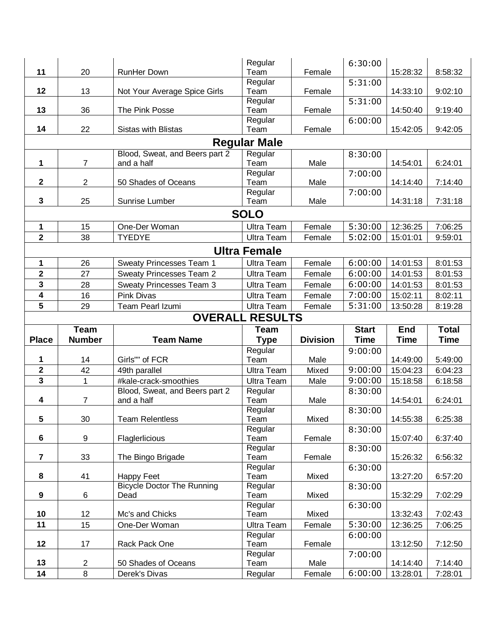|                         |                |                                           | Regular             |                 | 6:30:00               |             |              |
|-------------------------|----------------|-------------------------------------------|---------------------|-----------------|-----------------------|-------------|--------------|
| 11                      | 20             | <b>RunHer Down</b>                        | Team                | Female          |                       | 15:28:32    | 8:58:32      |
|                         |                |                                           | Regular             |                 | 5:31:00               |             |              |
| 12                      | 13             | Not Your Average Spice Girls              | Team                | Female          |                       | 14:33:10    | 9:02:10      |
| 13                      | 36             | The Pink Posse                            | Regular<br>Team     | Female          | 5:31:00               | 14:50:40    | 9:19:40      |
|                         |                |                                           | Regular             |                 | 6:00:00               |             |              |
| 14                      | 22             | <b>Sistas with Blistas</b>                | Team                | Female          |                       | 15:42:05    | 9:42:05      |
|                         |                |                                           | <b>Regular Male</b> |                 |                       |             |              |
|                         |                | Blood, Sweat, and Beers part 2            | Regular             |                 | 8:30:00               |             |              |
| 1                       | 7              | and a half                                | Team                | Male            |                       | 14:54:01    | 6:24:01      |
|                         |                |                                           | Regular             |                 | 7:00:00               |             |              |
| $\mathbf 2$             | $\overline{2}$ | 50 Shades of Oceans                       | Team                | Male            |                       | 14:14:40    | 7:14:40      |
|                         |                |                                           | Regular             |                 | 7:00:00               |             |              |
| 3                       | 25             | Sunrise Lumber                            | Team                | Male            |                       | 14:31:18    | 7:31:18      |
|                         |                |                                           | <b>SOLO</b>         |                 |                       |             |              |
| 1                       | 15             | One-Der Woman                             | <b>Ultra Team</b>   | Female          | 5:30:00               | 12:36:25    | 7:06:25      |
| $\overline{\mathbf{2}}$ | 38             | <b>TYEDYE</b>                             | <b>Ultra Team</b>   | Female          | 5:02:00               | 15:01:01    | 9:59:01      |
|                         |                |                                           | <b>Ultra Female</b> |                 |                       |             |              |
| 1                       | 26             | <b>Sweaty Princesses Team 1</b>           | <b>Ultra Team</b>   | Female          | 6:00:00               | 14:01:53    | 8:01:53      |
| $\overline{\mathbf{2}}$ | 27             | <b>Sweaty Princesses Team 2</b>           | <b>Ultra Team</b>   | Female          | 6:00:00               | 14:01:53    | 8:01:53      |
| 3                       | 28             | <b>Sweaty Princesses Team 3</b>           | <b>Ultra Team</b>   | Female          | 6:00:00               | 14:01:53    | 8:01:53      |
| $\overline{\mathbf{4}}$ | 16             | <b>Pink Divas</b>                         | <b>Ultra Team</b>   | Female          | 7:00:00               | 15:02:11    | 8:02:11      |
| 5                       | 29             | Team Pearl Izumi                          | <b>Ultra Team</b>   | Female          | 5:31:00               | 13:50:28    | 8:19:28      |
| <b>OVERALL RESULTS</b>  |                |                                           |                     |                 |                       |             |              |
|                         |                |                                           |                     |                 |                       |             |              |
|                         | <b>Team</b>    |                                           | <b>Team</b>         |                 | <b>Start</b>          | <b>End</b>  | <b>Total</b> |
| <b>Place</b>            | <b>Number</b>  | <b>Team Name</b>                          | <b>Type</b>         | <b>Division</b> | <b>Time</b>           | <b>Time</b> | <b>Time</b>  |
|                         |                |                                           | Regular             |                 | 9:00:00               |             |              |
| 1                       | 14             | Girls"" of FCR                            | Team                | Male            |                       | 14:49:00    | 5:49:00      |
| $\mathbf 2$             | 42             | 49th parallel                             | <b>Ultra Team</b>   | Mixed           | 9:00:00               | 15:04:23    | 6:04:23      |
| 3                       | 1              | #kale-crack-smoothies                     | <b>Ultra Team</b>   | Male            | 9:00:00               | 15:18:58    | 6:18:58      |
|                         |                | Blood, Sweat, and Beers part 2            | Regular             |                 | 8:30:00               |             |              |
| 4                       | 7              | and a half                                | Team                | Male            |                       | 14:54:01    | 6:24:01      |
| 5                       | 30             | <b>Team Relentless</b>                    | Regular<br>Team     | Mixed           | 8:30:00               | 14:55:38    | 6:25:38      |
|                         |                |                                           | Regular             |                 | 8:30:00               |             |              |
| $\bf 6$                 | 9              | Flaglerlicious                            | Team                | Female          |                       | 15:07:40    | 6:37:40      |
|                         |                |                                           | Regular             |                 | 8:30:00               |             |              |
| 7                       | 33             | The Bingo Brigade                         | Team                | Female          |                       | 15:26:32    | 6:56:32      |
|                         |                |                                           | Regular             |                 | 6:30:00               |             |              |
| 8                       | 41             | Happy Feet                                | Team                | Mixed           |                       | 13:27:20    | 6:57:20      |
| 9                       | 6              | <b>Bicycle Doctor The Running</b><br>Dead | Regular<br>Team     | Mixed           | 8:30:00               | 15:32:29    | 7:02:29      |
|                         |                |                                           | Regular             |                 | 6:30:00               |             |              |
| 10                      | 12             | Mc's and Chicks                           | Team                | Mixed           |                       | 13:32:43    | 7:02:43      |
| 11                      | 15             | One-Der Woman                             | <b>Ultra Team</b>   | Female          | $\overline{5}$ :30:00 | 12:36:25    | 7:06:25      |
|                         |                |                                           | Regular             |                 | 6:00:00               |             |              |
| 12                      | 17             | Rack Pack One                             | Team                | Female          |                       | 13:12:50    | 7:12:50      |
| 13                      | $\overline{2}$ | 50 Shades of Oceans                       | Regular<br>Team     | Male            | 7:00:00               | 14:14:40    | 7:14:40      |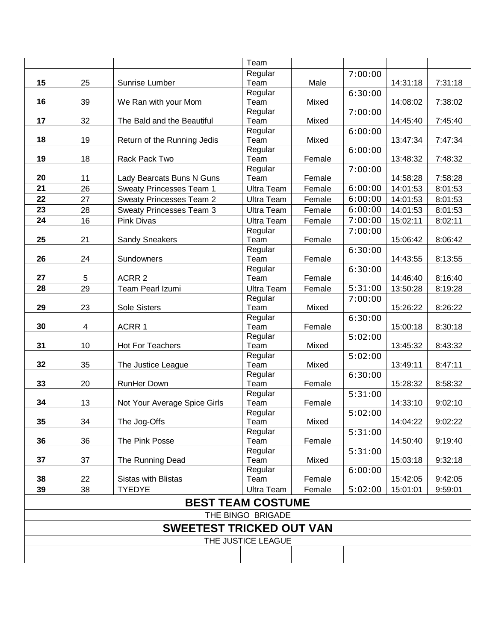|                                 |    |                                 | Team              |        |         |          |         |
|---------------------------------|----|---------------------------------|-------------------|--------|---------|----------|---------|
|                                 |    |                                 | Regular           |        | 7:00:00 |          |         |
| 15                              | 25 | Sunrise Lumber                  | Team              | Male   |         | 14:31:18 | 7:31:18 |
|                                 |    |                                 | Regular           |        | 6:30:00 |          |         |
| 16                              | 39 | We Ran with your Mom            | Team              | Mixed  |         | 14:08:02 | 7:38:02 |
|                                 |    |                                 | Regular           |        | 7:00:00 |          |         |
| 17                              | 32 | The Bald and the Beautiful      | Team              | Mixed  |         | 14:45:40 | 7:45:40 |
| 18                              | 19 | Return of the Running Jedis     | Regular<br>Team   | Mixed  | 6:00:00 | 13:47:34 |         |
|                                 |    |                                 | Regular           |        | 6:00:00 |          | 7:47:34 |
| 19                              | 18 | Rack Pack Two                   | Team              | Female |         | 13:48:32 | 7:48:32 |
|                                 |    |                                 | Regular           |        | 7:00:00 |          |         |
| 20                              | 11 | Lady Bearcats Buns N Guns       | Team              | Female |         | 14:58:28 | 7:58:28 |
| 21                              | 26 | <b>Sweaty Princesses Team 1</b> | <b>Ultra Team</b> | Female | 6:00:00 | 14:01:53 | 8:01:53 |
| 22                              | 27 | <b>Sweaty Princesses Team 2</b> | <b>Ultra Team</b> | Female | 6:00:00 | 14:01:53 | 8:01:53 |
| 23                              | 28 | <b>Sweaty Princesses Team 3</b> | <b>Ultra Team</b> | Female | 6:00:00 | 14:01:53 | 8:01:53 |
| 24                              | 16 | Pink Divas                      | <b>Ultra Team</b> | Female | 7:00:00 | 15:02:11 | 8:02:11 |
|                                 |    |                                 | Regular           |        | 7:00:00 |          |         |
| 25                              | 21 | <b>Sandy Sneakers</b>           | Team              | Female |         | 15:06:42 | 8:06:42 |
|                                 |    |                                 | Regular           |        | 6:30:00 |          |         |
| 26                              | 24 | Sundowners                      | Team              | Female |         | 14:43:55 | 8:13:55 |
|                                 |    |                                 | Regular           |        | 6:30:00 |          |         |
| 27                              | 5  | ACRR <sub>2</sub>               | Team              | Female |         | 14:46:40 | 8:16:40 |
| 28                              | 29 | Team Pearl Izumi                | <b>Ultra Team</b> | Female | 5:31:00 | 13:50:28 | 8:19:28 |
|                                 |    |                                 | Regular           |        | 7:00:00 |          |         |
| 29                              | 23 | Sole Sisters                    | Team              | Mixed  |         | 15:26:22 | 8:26:22 |
| 30                              | 4  | ACRR 1                          | Regular<br>Team   | Female | 6:30:00 | 15:00:18 | 8:30:18 |
|                                 |    |                                 | Regular           |        | 5:02:00 |          |         |
| 31                              | 10 | <b>Hot For Teachers</b>         | Team              | Mixed  |         | 13:45:32 | 8:43:32 |
|                                 |    |                                 | Regular           |        | 5:02:00 |          |         |
| 32                              | 35 | The Justice League              | Team              | Mixed  |         | 13:49:11 | 8:47:11 |
|                                 |    |                                 | Regular           |        | 6:30:00 |          |         |
| 33                              | 20 | RunHer Down                     | Team              | Female |         | 15:28:32 | 8:58:32 |
|                                 |    |                                 | Regular           |        | 5:31:00 |          |         |
| 34                              | 13 | Not Your Average Spice Girls    | Team              | Female |         | 14:33:10 | 9:02:10 |
| 35                              | 34 | The Jog-Offs                    | Regular<br>Team   | Mixed  | 5:02:00 | 14:04:22 | 9:02:22 |
|                                 |    |                                 | Regular           |        | 5:31:00 |          |         |
| 36                              | 36 | The Pink Posse                  | Team              | Female |         | 14:50:40 | 9:19:40 |
|                                 |    |                                 | Regular           |        | 5:31:00 |          |         |
| 37                              | 37 | The Running Dead                | Team              | Mixed  |         | 15:03:18 | 9:32:18 |
|                                 |    |                                 | Regular           |        | 6:00:00 |          |         |
| 38                              | 22 | <b>Sistas with Blistas</b>      | Team              | Female |         | 15:42:05 | 9:42:05 |
| 39                              | 38 | <b>TYEDYE</b>                   | <b>Ultra Team</b> | Female | 5:02:00 | 15:01:01 | 9:59:01 |
| <b>BEST TEAM COSTUME</b>        |    |                                 |                   |        |         |          |         |
| THE BINGO BRIGADE               |    |                                 |                   |        |         |          |         |
| <b>SWEETEST TRICKED OUT VAN</b> |    |                                 |                   |        |         |          |         |
| THE JUSTICE LEAGUE              |    |                                 |                   |        |         |          |         |
|                                 |    |                                 |                   |        |         |          |         |
|                                 |    |                                 |                   |        |         |          |         |